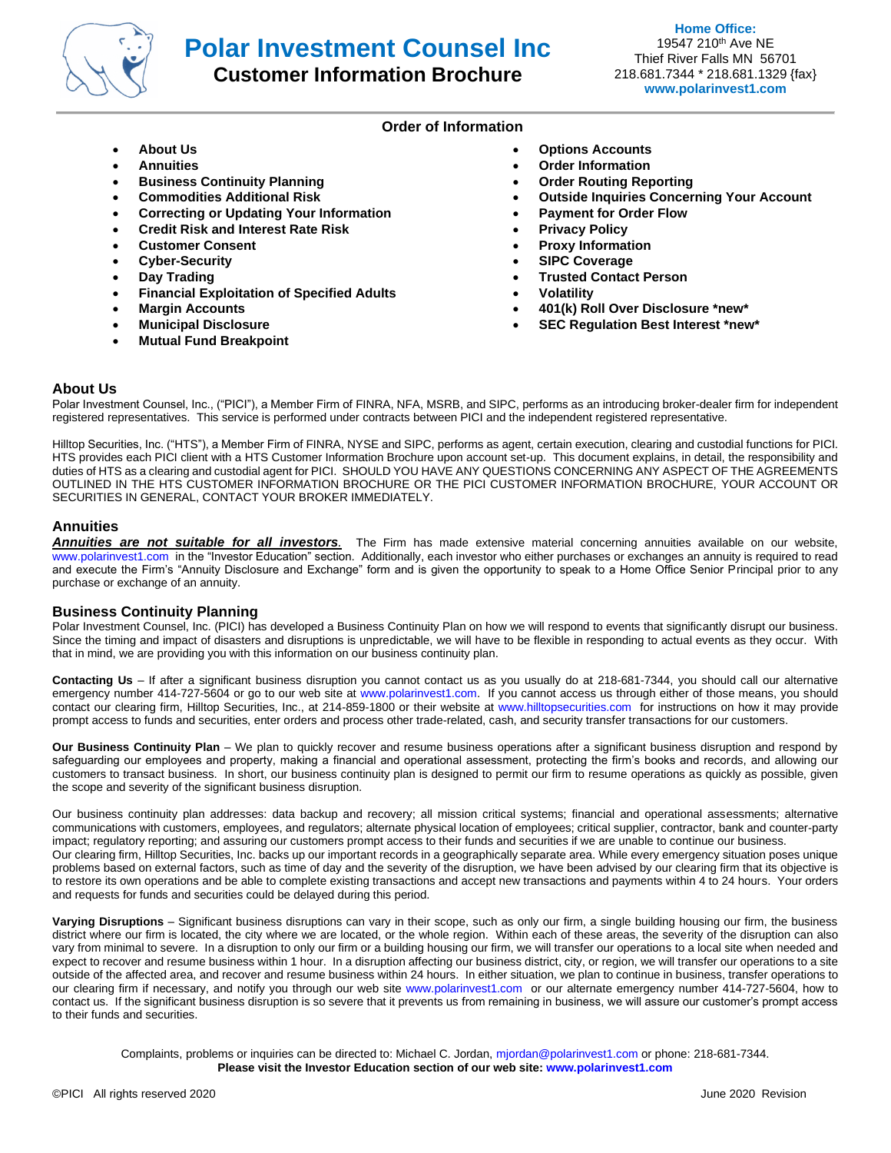

# **Polar Investment Counsel Inc Customer Information Brochure**

**Home Office:** 19547 210th Ave NE Thief River Falls MN 56701 218.681.7344 \* 218.681.1329 {fax} **[www.polarinvest1.com](http://www.polarinvest1.com/)**

# **Order of Information**

- **About Us**
- **Annuities**
- **Business Continuity Planning**
- **Commodities Additional Risk**
- **Correcting or Updating Your Information**
- **Credit Risk and Interest Rate Risk**
- **Customer Consent**
- **Cyber-Security**
- **Day Trading**
- **Financial Exploitation of Specified Adults**
- **Margin Accounts**
- **Municipal Disclosure**
- **Mutual Fund Breakpoint**
- **Options Accounts**
- **Order Information**
- **Order Routing Reporting**
- **Outside Inquiries Concerning Your Account**
- **Payment for Order Flow**
- **Privacy Policy**
- **Proxy Information**
- **SIPC Coverage**
- **Trusted Contact Person**
- **Volatility**
- **401(k) Roll Over Disclosure \*new\***
- **SEC Regulation Best Interest \*new\***

### **About Us**

Polar Investment Counsel, Inc., ("PICI"), a Member Firm of FINRA, NFA, MSRB, and SIPC, performs as an introducing broker-dealer firm for independent registered representatives. This service is performed under contracts between PICI and the independent registered representative.

Hilltop Securities, Inc. ("HTS"), a Member Firm of FINRA, NYSE and SIPC, performs as agent, certain execution, clearing and custodial functions for PICI. HTS provides each PICI client with a HTS Customer Information Brochure upon account set-up. This document explains, in detail, the responsibility and duties of HTS as a clearing and custodial agent for PICI. SHOULD YOU HAVE ANY QUESTIONS CONCERNING ANY ASPECT OF THE AGREEMENTS OUTLINED IN THE HTS CUSTOMER INFORMATION BROCHURE OR THE PICI CUSTOMER INFORMATION BROCHURE, YOUR ACCOUNT OR SECURITIES IN GENERAL, CONTACT YOUR BROKER IMMEDIATELY.

#### **Annuities**

*Annuities are not suitable for all investors.* The Firm has made extensive material concerning annuities available on our website, [www.polarinvest1.com](http://www.polarinvest1.com/) in the "Investor Education" section. Additionally, each investor who either purchases or exchanges an annuity is required to read and execute the Firm's "Annuity Disclosure and Exchange" form and is given the opportunity to speak to a Home Office Senior Principal prior to any purchase or exchange of an annuity.

#### **Business Continuity Planning**

Polar Investment Counsel, Inc. (PICI) has developed a Business Continuity Plan on how we will respond to events that significantly disrupt our business. Since the timing and impact of disasters and disruptions is unpredictable, we will have to be flexible in responding to actual events as they occur. With that in mind, we are providing you with this information on our business continuity plan.

**Contacting Us** – If after a significant business disruption you cannot contact us as you usually do at 218-681-7344, you should call our alternative emergency number 414-727-5604 or go to our web site at [www.polarinvest1.com.](http://www.polarinvest1.com/) If you cannot access us through either of those means, you should contact our clearing firm, Hilltop Securities, Inc., at 214-859-1800 or their website at [www.hilltopsecurities.com](http://www.hilltopsecurities.com/) for instructions on how it may provide prompt access to funds and securities, enter orders and process other trade-related, cash, and security transfer transactions for our customers.

**Our Business Continuity Plan** – We plan to quickly recover and resume business operations after a significant business disruption and respond by safeguarding our employees and property, making a financial and operational assessment, protecting the firm's books and records, and allowing our customers to transact business. In short, our business continuity plan is designed to permit our firm to resume operations as quickly as possible, given the scope and severity of the significant business disruption.

Our business continuity plan addresses: data backup and recovery; all mission critical systems; financial and operational assessments; alternative communications with customers, employees, and regulators; alternate physical location of employees; critical supplier, contractor, bank and counter-party impact; regulatory reporting; and assuring our customers prompt access to their funds and securities if we are unable to continue our business. Our clearing firm, Hilltop Securities, Inc. backs up our important records in a geographically separate area. While every emergency situation poses unique problems based on external factors, such as time of day and the severity of the disruption, we have been advised by our clearing firm that its objective is to restore its own operations and be able to complete existing transactions and accept new transactions and payments within 4 to 24 hours. Your orders and requests for funds and securities could be delayed during this period.

**Varying Disruptions** – Significant business disruptions can vary in their scope, such as only our firm, a single building housing our firm, the business district where our firm is located, the city where we are located, or the whole region. Within each of these areas, the severity of the disruption can also vary from minimal to severe. In a disruption to only our firm or a building housing our firm, we will transfer our operations to a local site when needed and expect to recover and resume business within 1 hour. In a disruption affecting our business district, city, or region, we will transfer our operations to a site outside of the affected area, and recover and resume business within 24 hours. In either situation, we plan to continue in business, transfer operations to our clearing firm if necessary, and notify you through our web site [www.polarinvest1.com](http://www.polarinvest1.com/) or our alternate emergency number 414-727-5604, how to contact us. If the significant business disruption is so severe that it prevents us from remaining in business, we will assure our customer's prompt access to their funds and securities.

Complaints, problems or inquiries can be directed to: Michael C. Jordan, [mjordan@polarinvest1.com](mailto:mjordan@polarinvest1.com) or phone: 218-681-7344. **Please visit the Investor Education section of our web site[: www.polarinvest1.com](http://www.polarinvest1.com/)**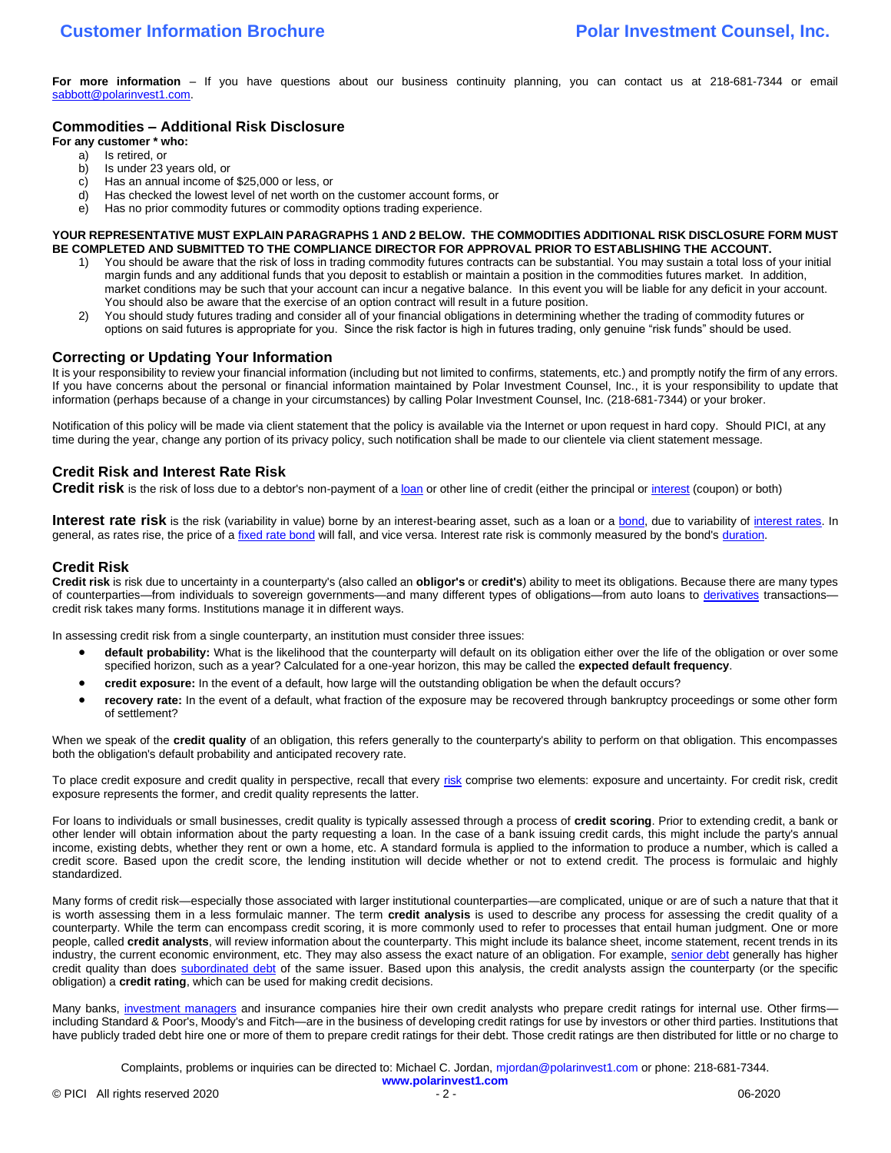**For more information** – If you have questions about our business continuity planning, you can contact us at 218-681-7344 or email [sabbott@polarinvest1.com.](mailto:sabbott@polarinvest1.com)

# **Commodities – Additional Risk Disclosure**

- **For any customer \* who:** a) Is retired, or
	-
	- b) Is under 23 years old, or  $\overline{c}$ ) Has an annual income of Has an annual income of \$25,000 or less, or
	- d) Has checked the lowest level of net worth on the customer account forms, or
	- e) Has no prior commodity futures or commodity options trading experience.

#### **YOUR REPRESENTATIVE MUST EXPLAIN PARAGRAPHS 1 AND 2 BELOW. THE COMMODITIES ADDITIONAL RISK DISCLOSURE FORM MUST BE COMPLETED AND SUBMITTED TO THE COMPLIANCE DIRECTOR FOR APPROVAL PRIOR TO ESTABLISHING THE ACCOUNT.**

- 1) You should be aware that the risk of loss in trading commodity futures contracts can be substantial. You may sustain a total loss of your initial margin funds and any additional funds that you deposit to establish or maintain a position in the commodities futures market. In addition, market conditions may be such that your account can incur a negative balance. In this event you will be liable for any deficit in your account. You should also be aware that the exercise of an option contract will result in a future position.
- 2) You should study futures trading and consider all of your financial obligations in determining whether the trading of commodity futures or options on said futures is appropriate for you. Since the risk factor is high in futures trading, only genuine "risk funds" should be used.

# **Correcting or Updating Your Information**

It is your responsibility to review your financial information (including but not limited to confirms, statements, etc.) and promptly notify the firm of any errors. If you have concerns about the personal or financial information maintained by Polar Investment Counsel, Inc., it is your responsibility to update that information (perhaps because of a change in your circumstances) by calling Polar Investment Counsel, Inc. (218-681-7344) or your broker.

Notification of this policy will be made via client statement that the policy is available via the Internet or upon request in hard copy. Should PICI, at any time during the year, change any portion of its privacy policy, such notification shall be made to our clientele via client statement message.

# **Credit Risk and Interest Rate Risk**

Credit risk is the risk of loss due to a debtor's non-payment of [a loan](http://en.wikipedia.org/wiki/Loan) or other line of credit (either the principal o[r interest](http://en.wikipedia.org/wiki/Interest) (coupon) or both)

**Interest rate risk** is the risk (variability in value) borne by an interest-bearing asset, such as a loan or a [bond,](http://en.wikipedia.org/wiki/Bond_(finance)) due to variability of *interest rates*. In general, as rates rise, the price of [a fixed rate bond](http://en.wikipedia.org/wiki/Fixed_rate_bond) will fall, and vice versa. Interest rate risk is commonly measured by the bond'[s duration.](http://en.wikipedia.org/wiki/Bond_duration)

# **Credit Risk**

**Credit risk** is risk due to uncertainty in a counterparty's (also called an **obligor's** or **credit's**) ability to meet its obligations. Because there are many types of counterparties—from individuals to sovereign governments—and many different types of obligations—from auto loans to [derivatives](http://www.riskglossary.com/articles/derivative_instrument.htm) transactions credit risk takes many forms. Institutions manage it in different ways.

In assessing credit risk from a single counterparty, an institution must consider three issues:

- **default probability:** What is the likelihood that the counterparty will default on its obligation either over the life of the obligation or over some specified horizon, such as a year? Calculated for a one-year horizon, this may be called the **expected default frequency**.
- **credit exposure:** In the event of a default, how large will the outstanding obligation be when the default occurs?
- **recovery rate:** In the event of a default, what fraction of the exposure may be recovered through bankruptcy proceedings or some other form of settlement?

When we speak of the **credit quality** of an obligation, this refers generally to the counterparty's ability to perform on that obligation. This encompasses both the obligation's default probability and anticipated recovery rate.

To place credit exposure and credit quality in perspective, recall that every [risk](http://www.riskglossary.com/articles/risk.htm) comprise two elements: exposure and uncertainty. For credit risk, credit exposure represents the former, and credit quality represents the latter.

For loans to individuals or small businesses, credit quality is typically assessed through a process of **credit scoring**. Prior to extending credit, a bank or other lender will obtain information about the party requesting a loan. In the case of a bank issuing credit cards, this might include the party's annual income, existing debts, whether they rent or own a home, etc. A standard formula is applied to the information to produce a number, which is called a credit score. Based upon the credit score, the lending institution will decide whether or not to extend credit. The process is formulaic and highly standardized.

Many forms of credit risk—especially those associated with larger institutional counterparties—are complicated, unique or are of such a nature that that it is worth assessing them in a less formulaic manner. The term **credit analysis** is used to describe any process for assessing the credit quality of a counterparty. While the term can encompass credit scoring, it is more commonly used to refer to processes that entail human judgment. One or more people, called **credit analysts**, will review information about the counterparty. This might include its balance sheet, income statement, recent trends in its industry, the current economic environment, etc. They may also assess the exact nature of an obligation. For example, [senior debt](http://www.riskglossary.com/articles/senior_subordinated.htm) generally has higher credit quality than does [subordinated debt](http://www.riskglossary.com/articles/senior_subordinated.htm) of the same issuer. Based upon this analysis, the credit analysts assign the counterparty (or the specific obligation) a **credit rating**, which can be used for making credit decisions.

Many banks, [investment managers](http://www.riskglossary.com/articles/investment_management.htm) and insurance companies hire their own credit analysts who prepare credit ratings for internal use. Other firmsincluding Standard & Poor's, Moody's and Fitch—are in the business of developing credit ratings for use by investors or other third parties. Institutions that have publicly traded debt hire one or more of them to prepare credit ratings for their debt. Those credit ratings are then distributed for little or no charge to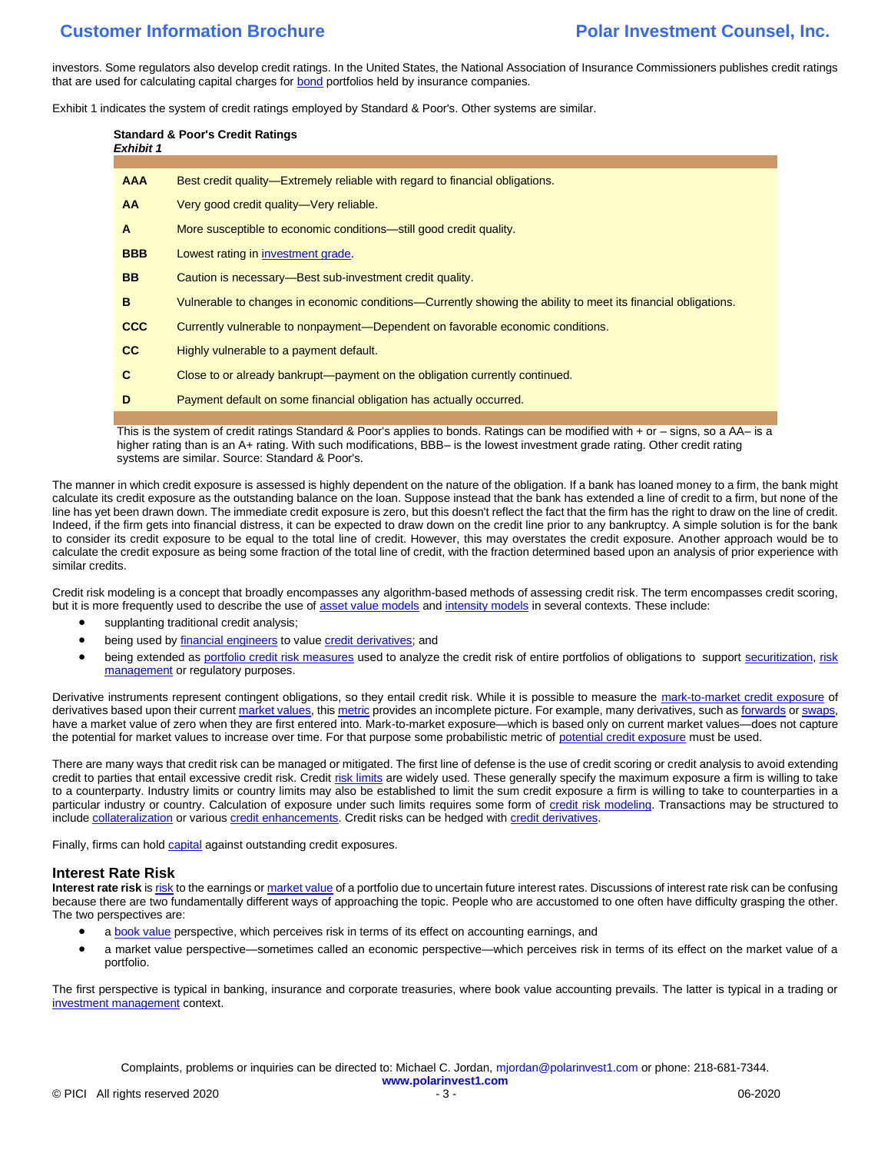investors. Some regulators also develop credit ratings. In the United States, the National Association of Insurance Commissioners publishes credit ratings that are used for calculating capital charges for [bond](http://www.riskglossary.com/articles/coupon_bond.htm) portfolios held by insurance companies.

Exhibit 1 indicates the system of credit ratings employed by Standard & Poor's. Other systems are similar.

| <b>Standard &amp; Poor's Credit Ratings</b><br>Exhibit 1 |                                                                                                               |  |  |  |
|----------------------------------------------------------|---------------------------------------------------------------------------------------------------------------|--|--|--|
|                                                          |                                                                                                               |  |  |  |
| <b>AAA</b>                                               | Best credit quality—Extremely reliable with regard to financial obligations.                                  |  |  |  |
| AA                                                       | Very good credit quality—Very reliable.                                                                       |  |  |  |
| A                                                        | More susceptible to economic conditions—still good credit quality.                                            |  |  |  |
| <b>BBB</b>                                               | Lowest rating in investment grade.                                                                            |  |  |  |
| <b>BB</b>                                                | Caution is necessary—Best sub-investment credit quality.                                                      |  |  |  |
| в                                                        | Vulnerable to changes in economic conditions—Currently showing the ability to meet its financial obligations. |  |  |  |
| <b>CCC</b>                                               | Currently vulnerable to nonpayment—Dependent on favorable economic conditions.                                |  |  |  |
| cc                                                       | Highly vulnerable to a payment default.                                                                       |  |  |  |
| C                                                        | Close to or already bankrupt—payment on the obligation currently continued.                                   |  |  |  |
| D                                                        | Payment default on some financial obligation has actually occurred.                                           |  |  |  |
|                                                          |                                                                                                               |  |  |  |

This is the system of credit ratings Standard & Poor's applies to bonds. Ratings can be modified with + or – signs, so a AA– is a higher rating than is an A+ rating. With such modifications, BBB– is the lowest investment grade rating. Other credit rating systems are similar. Source: Standard & Poor's.

The manner in which credit exposure is assessed is highly dependent on the nature of the obligation. If a bank has loaned money to a firm, the bank might calculate its credit exposure as the outstanding balance on the loan. Suppose instead that the bank has extended a line of credit to a firm, but none of the line has yet been drawn down. The immediate credit exposure is zero, but this doesn't reflect the fact that the firm has the right to draw on the line of credit. Indeed, if the firm gets into financial distress, it can be expected to draw down on the credit line prior to any bankruptcy. A simple solution is for the bank to consider its credit exposure to be equal to the total line of credit. However, this may overstates the credit exposure. Another approach would be to calculate the credit exposure as being some fraction of the total line of credit, with the fraction determined based upon an analysis of prior experience with similar credits.

Credit risk modeling is a concept that broadly encompasses any algorithm-based methods of assessing credit risk. The term encompasses credit scoring, but it is more frequently used to describe the use o[f asset value models](http://www.riskglossary.com/articles/asset_value_model.htm) and [intensity models](http://www.riskglossary.com/articles/intensity_model.htm) in several contexts. These include:

- supplanting traditional credit analysis;
- being used by [financial engineers](http://www.riskglossary.com/articles/option_pricing_theory.htm) to valu[e credit derivatives;](http://www.riskglossary.com/articles/credit_derivative.htm) and
- being extended as [portfolio credit risk measures](http://www.riskglossary.com/articles/portfolio_credit_risk.htm) used to analyze the credit risk of entire portfolios of obligations to support [securitization,](http://www.riskglossary.com/articles/securitization.htm) risk [management](http://www.riskglossary.com/articles/risk_management.htm) or regulatory purposes.

Derivative instruments represent contingent obligations, so they entail credit risk. While it is possible to measure the [mark-to-market credit exposure](http://www.riskglossary.com/articles/presettlement_risk.htm) of derivatives based upon their curren[t market values,](http://www.riskglossary.com/articles/valuation.htm) thi[s metric](http://www.riskglossary.com/articles/risk_metric_and_risk_measure.htm) provides an incomplete picture. For example, many derivatives, such a[s forwards](http://www.riskglossary.com/articles/forward.htm) o[r swaps,](http://www.riskglossary.com/articles/swap.htm) have a market value of zero when they are first entered into. Mark-to-market exposure—which is based only on current market values—does not capture the potential for market values to increase over time. For that purpose some probabilistic metric of [potential credit exposure](http://www.riskglossary.com/articles/presettlement_risk.htm) must be used.

There are many ways that credit risk can be managed or mitigated. The first line of defense is the use of credit scoring or credit analysis to avoid extending credit to parties that entail excessive credit risk. Credit [risk limits](http://www.riskglossary.com/articles/risk_limits.htm) are widely used. These generally specify the maximum exposure a firm is willing to take to a counterparty. Industry limits or country limits may also be established to limit the sum credit exposure a firm is willing to take to counterparties in a particular industry or country. Calculation of exposure under such limits requires some form of [credit risk modeling.](http://www.riskglossary.com/articles/default_model.htm) Transactions may be structured to includ[e collateralization](http://www.riskglossary.com/articles/collateral.htm) or variou[s credit enhancements.](http://www.riskglossary.com/articles/credit_enhancement.htm) Credit risks can be hedged with [credit derivatives.](http://www.riskglossary.com/articles/credit_derivative.htm)

Finally, firms can hol[d capital](http://www.riskglossary.com/articles/capital_allocation.htm) against outstanding credit exposures.

# **Interest Rate Risk**

**Interest rate risk** i[s risk](http://www.riskglossary.com/articles/risk.htm) to the earnings o[r market value](http://www.riskglossary.com/articles/valuation.htm) of a portfolio due to uncertain future interest rates. Discussions of interest rate risk can be confusing because there are two fundamentally different ways of approaching the topic. People who are accustomed to one often have difficulty grasping the other. The two perspectives are:

- [a book value](http://www.riskglossary.com/articles/valuation.htm) perspective, which perceives risk in terms of its effect on accounting earnings, and
- a market value perspective—sometimes called an economic perspective—which perceives risk in terms of its effect on the market value of a portfolio.

The first perspective is typical in banking, insurance and corporate treasuries, where book value accounting prevails. The latter is typical in a trading or [investment management](http://www.riskglossary.com/articles/investment_management.htm) context.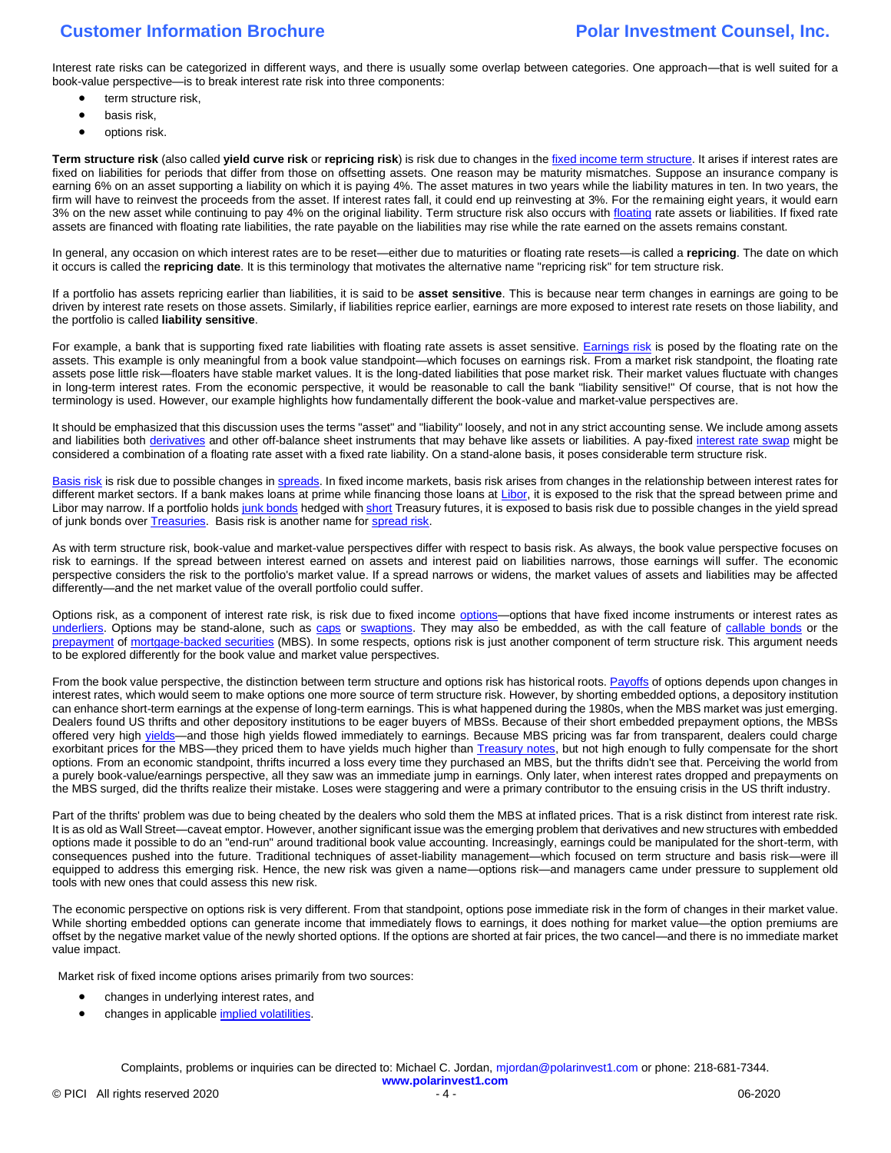Interest rate risks can be categorized in different ways, and there is usually some overlap between categories. One approach—that is well suited for a book-value perspective—is to break interest rate risk into three components:

- term structure risk.
- basis risk,
- options risk.

**Term structure risk** (also called **yield curve risk** or **repricing risk**) is risk due to changes in th[e fixed income term structure.](http://www.riskglossary.com/articles/fixed_income_term_structure.htm) It arises if interest rates are fixed on liabilities for periods that differ from those on offsetting assets. One reason may be maturity mismatches. Suppose an insurance company is earning 6% on an asset supporting a liability on which it is paying 4%. The asset matures in two years while the liability matures in ten. In two years, the firm will have to reinvest the proceeds from the asset. If interest rates fall, it could end up reinvesting at 3%. For the remaining eight years, it would earn 3% on the new asset while continuing to pay 4% on the original liability. Term structure risk also occurs with [floating](http://www.riskglossary.com/articles/floater.htm) rate assets or liabilities. If fixed rate assets are financed with floating rate liabilities, the rate payable on the liabilities may rise while the rate earned on the assets remains constant.

In general, any occasion on which interest rates are to be reset—either due to maturities or floating rate resets—is called a **repricing**. The date on which it occurs is called the **repricing date**. It is this terminology that motivates the alternative name "repricing risk" for tem structure risk.

If a portfolio has assets repricing earlier than liabilities, it is said to be **asset sensitive**. This is because near term changes in earnings are going to be driven by interest rate resets on those assets. Similarly, if liabilities reprice earlier, earnings are more exposed to interest rate resets on those liability, and the portfolio is called **liability sensitive**.

For example, a bank that is supporting fixed rate liabilities with floating rate assets is asset sensitive. [Earnings risk](http://www.riskglossary.com/articles/corporate_risk_management.htm) is posed by the floating rate on the assets. This example is only meaningful from a book value standpoint—which focuses on earnings risk. From a market risk standpoint, the floating rate assets pose little risk—floaters have stable market values. It is the long-dated liabilities that pose market risk. Their market values fluctuate with changes in long-term interest rates. From the economic perspective, it would be reasonable to call the bank "liability sensitive!" Of course, that is not how the terminology is used. However, our example highlights how fundamentally different the book-value and market-value perspectives are.

It should be emphasized that this discussion uses the terms "asset" and "liability" loosely, and not in any strict accounting sense. We include among assets and liabilities both [derivatives](http://www.riskglossary.com/articles/derivative_instrument.htm) and other off-balance sheet instruments that may behave like assets or liabilities. A pay-fixe[d interest rate swap](http://www.riskglossary.com/articles/interest_rate_swap.htm) might be considered a combination of a floating rate asset with a fixed rate liability. On a stand-alone basis, it poses considerable term structure risk.

[Basis risk](http://www.riskglossary.com/articles/spread_risk.htm) is risk due to possible changes in [spreads.](http://www.riskglossary.com/articles/spreads.htm) In fixed income markets, basis risk arises from changes in the relationship between interest rates for different market sectors. If a bank makes loans at prime while financing those loans a[t Libor,](http://www.riskglossary.com/articles/libor.htm) it is exposed to the risk that the spread between prime and Libor may narrow. If a portfolio hold[s junk bonds](http://www.riskglossary.com/articles/junk_bond.htm) hedged with [short](http://www.riskglossary.com/articles/short_sale.htm) Treasury futures, it is exposed to basis risk due to possible changes in the yield spread of junk bonds ove[r Treasuries.](http://www.riskglossary.com/articles/treasury_securities.htm) Basis risk is another name fo[r spread risk.](http://www.riskglossary.com/articles/spread_risk.htm)

As with term structure risk, book-value and market-value perspectives differ with respect to basis risk. As always, the book value perspective focuses on risk to earnings. If the spread between interest earned on assets and interest paid on liabilities narrows, those earnings will suffer. The economic perspective considers the risk to the portfolio's market value. If a spread narrows or widens, the market values of assets and liabilities may be affected differently—and the net market value of the overall portfolio could suffer.

Options risk, as a component of interest rate risk, is risk due to fixed income [options—](http://www.riskglossary.com/articles/option.htm)options that have fixed income instruments or interest rates as [underliers.](http://www.riskglossary.com/articles/derivative_instrument.htm) Options may be stand-alone, such as [caps](http://www.riskglossary.com/articles/cap.htm) or [swaptions.](http://www.riskglossary.com/articles/swaption.htm) They may also be embedded, as with the call feature of [callable bonds](http://www.riskglossary.com/articles/callable_bond.htm) or the [prepayment](http://www.riskglossary.com/articles/prepayment.htm) of [mortgage-backed](http://www.riskglossary.com/articles/mortgage_backed_security.htm) securities (MBS). In some respects, options risk is just another component of term structure risk. This argument needs to be explored differently for the book value and market value perspectives.

From the book value perspective, the distinction between term structure and options risk has historical roots[. Payoffs](http://www.riskglossary.com/articles/options_spread.htm) of options depends upon changes in interest rates, which would seem to make options one more source of term structure risk. However, by shorting embedded options, a depository institution can enhance short-term earnings at the expense of long-term earnings. This is what happened during the 1980s, when the MBS market was just emerging. Dealers found US thrifts and other depository institutions to be eager buyers of MBSs. Because of their short embedded prepayment options, the MBSs offered very high [yields—](http://www.riskglossary.com/articles/yield.htm)and those high yields flowed immediately to earnings. Because MBS pricing was far from transparent, dealers could charge exorbitant prices for the MBS—they priced them to have yields much higher than [Treasury notes,](http://www.riskglossary.com/articles/treasury_note_and_bond.htm) but not high enough to fully compensate for the short options. From an economic standpoint, thrifts incurred a loss every time they purchased an MBS, but the thrifts didn't see that. Perceiving the world from a purely book-value/earnings perspective, all they saw was an immediate jump in earnings. Only later, when interest rates dropped and prepayments on the MBS surged, did the thrifts realize their mistake. Loses were staggering and were a primary contributor to the ensuing crisis in the US thrift industry.

Part of the thrifts' problem was due to being cheated by the dealers who sold them the MBS at inflated prices. That is a risk distinct from interest rate risk. It is as old as Wall Street—caveat emptor. However, another significant issue was the emerging problem that derivatives and new structures with embedded options made it possible to do an "end-run" around traditional book value accounting. Increasingly, earnings could be manipulated for the short-term, with consequences pushed into the future. Traditional techniques of asset-liability management—which focused on term structure and basis risk—were ill equipped to address this emerging risk. Hence, the new risk was given a name—options risk—and managers came under pressure to supplement old tools with new ones that could assess this new risk.

The economic perspective on options risk is very different. From that standpoint, options pose immediate risk in the form of changes in their market value. While shorting embedded options can generate income that immediately flows to earnings, it does nothing for market value—the option premiums are offset by the negative market value of the newly shorted options. If the options are shorted at fair prices, the two cancel—and there is no immediate market value impact.

Market risk of fixed income options arises primarily from two sources:

- changes in underlying interest rates, and
- changes in applicable *implied* volatilities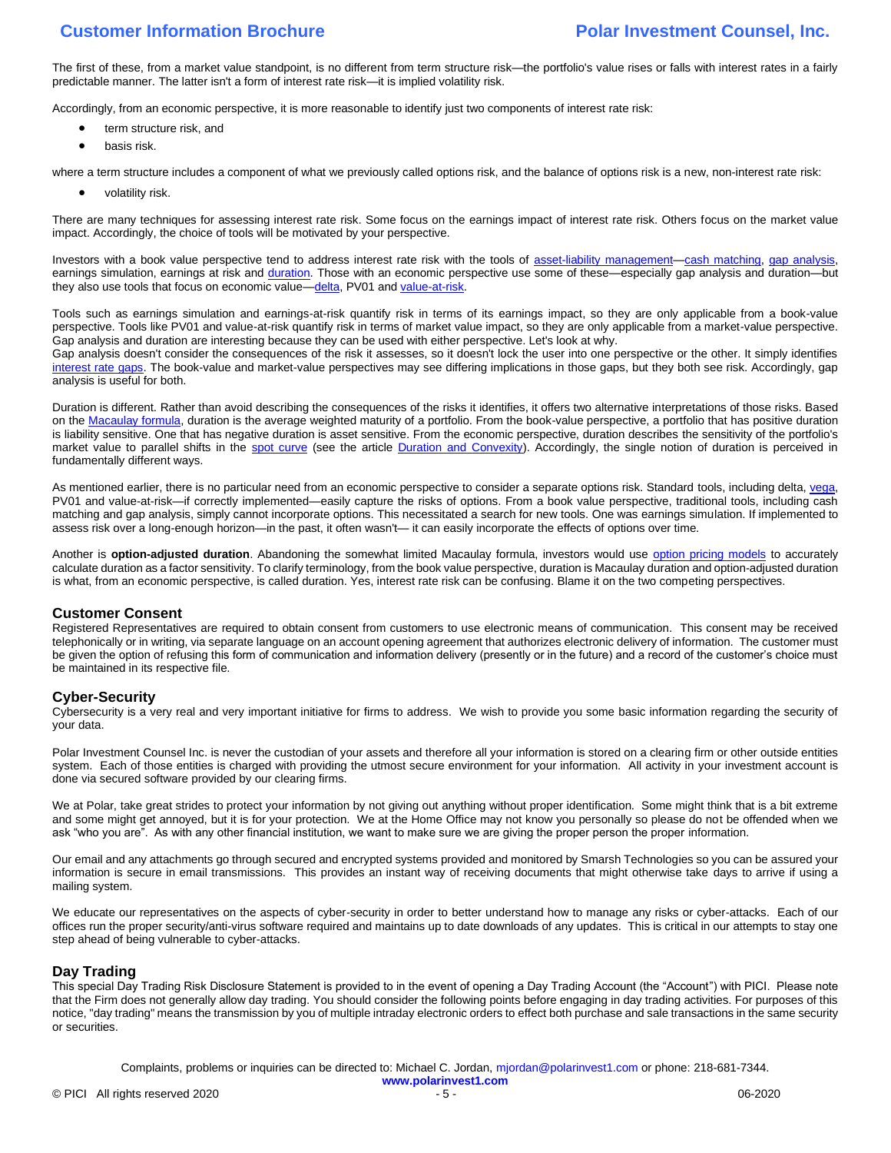# **Customer Information Brochure Polar Investment Counsel, Inc. Polar Investment Counsel, Inc.**

The first of these, from a market value standpoint, is no different from term structure risk—the portfolio's value rises or falls with interest rates in a fairly predictable manner. The latter isn't a form of interest rate risk—it is implied volatility risk.

Accordingly, from an economic perspective, it is more reasonable to identify just two components of interest rate risk:

- term structure risk, and
- basis risk.

where a term structure includes a component of what we previously called options risk, and the balance of options risk is a new, non-interest rate risk:

• volatility risk.

There are many techniques for assessing interest rate risk. Some focus on the earnings impact of interest rate risk. Others focus on the market value impact. Accordingly, the choice of tools will be motivated by your perspective.

Investors with a book value perspective tend to address interest rate risk with the tools of [asset-liability management](http://www.riskglossary.com/articles/asset_liability_management.htm)-cash matching, gap analysis, earnings simulation, earnings at risk and [duration.](http://www.riskglossary.com/articles/duration_and_convexity.htm) Those with an economic perspective use some of these—especially gap analysis and duration—but they also use tools that focus on economic value[—delta,](http://www.riskglossary.com/articles/delta_and_gamma.htm) PV01 an[d value-at-risk.](http://www.riskglossary.com/articles/value_at_risk.htm)

Tools such as earnings simulation and earnings-at-risk quantify risk in terms of its earnings impact, so they are only applicable from a book-value perspective. Tools like PV01 and value-at-risk quantify risk in terms of market value impact, so they are only applicable from a market-value perspective. Gap analysis and duration are interesting because they can be used with either perspective. Let's look at why.

Gap analysis doesn't consider the consequences of the risk it assesses, so it doesn't lock the user into one perspective or the other. It simply identifies [interest rate gaps.](http://www.riskglossary.com/articles/gap_analysis.htm) The book-value and market-value perspectives may see differing implications in those gaps, but they both see risk. Accordingly, gap analysis is useful for both.

Duration is different. Rather than avoid describing the consequences of the risks it identifies, it offers two alternative interpretations of those risks. Based on the [Macaulay formula,](http://www.riskglossary.com/articles/duration_and_convexity.htm) duration is the average weighted maturity of a portfolio. From the book-value perspective, a portfolio that has positive duration is liability sensitive. One that has negative duration is asset sensitive. From the economic perspective, duration describes the sensitivity of the portfolio's market value to parallel shifts in the [spot curve](http://www.riskglossary.com/articles/fixed_income_term_structure.htm) (see the article [Duration and Convexity\)](http://www.riskglossary.com/articles/duration_and_convexity.htm). Accordingly, the single notion of duration is perceived in fundamentally different ways.

As mentioned earlier, there is no particular need from an economic perspective to consider a separate options risk. Standard tools, including delta[, vega,](http://www.riskglossary.com/articles/vega.htm) PV01 and value-at-risk—if correctly implemented—easily capture the risks of options. From a book value perspective, traditional tools, including cash matching and gap analysis, simply cannot incorporate options. This necessitated a search for new tools. One was earnings simulation. If implemented to assess risk over a long-enough horizon—in the past, it often wasn't— it can easily incorporate the effects of options over time.

Another is **option-adjusted duration**. Abandoning the somewhat limited Macaulay formula, investors would use **option pricing models** to accurately calculate duration as a factor sensitivity. To clarify terminology, from the book value perspective, duration is Macaulay duration and option-adjusted duration is what, from an economic perspective, is called duration. Yes, interest rate risk can be confusing. Blame it on the two competing perspectives.

# **Customer Consent**

Registered Representatives are required to obtain consent from customers to use electronic means of communication. This consent may be received telephonically or in writing, via separate language on an account opening agreement that authorizes electronic delivery of information. The customer must be given the option of refusing this form of communication and information delivery (presently or in the future) and a record of the customer's choice must be maintained in its respective file.

#### **Cyber-Security**

Cybersecurity is a very real and very important initiative for firms to address. We wish to provide you some basic information regarding the security of your data.

Polar Investment Counsel Inc. is never the custodian of your assets and therefore all your information is stored on a clearing firm or other outside entities system. Each of those entities is charged with providing the utmost secure environment for your information. All activity in your investment account is done via secured software provided by our clearing firms.

We at Polar, take great strides to protect your information by not giving out anything without proper identification. Some might think that is a bit extreme and some might get annoyed, but it is for your protection. We at the Home Office may not know you personally so please do not be offended when we ask "who you are". As with any other financial institution, we want to make sure we are giving the proper person the proper information.

Our email and any attachments go through secured and encrypted systems provided and monitored by Smarsh Technologies so you can be assured your information is secure in email transmissions. This provides an instant way of receiving documents that might otherwise take days to arrive if using a mailing system.

We educate our representatives on the aspects of cyber-security in order to better understand how to manage any risks or cyber-attacks. Each of our offices run the proper security/anti-virus software required and maintains up to date downloads of any updates. This is critical in our attempts to stay one step ahead of being vulnerable to cyber-attacks.

#### **Day Trading**

This special Day Trading Risk Disclosure Statement is provided to in the event of opening a Day Trading Account (the "Account") with PICI. Please note that the Firm does not generally allow day trading. You should consider the following points before engaging in day trading activities. For purposes of this notice, "day trading" means the transmission by you of multiple intraday electronic orders to effect both purchase and sale transactions in the same security or securities.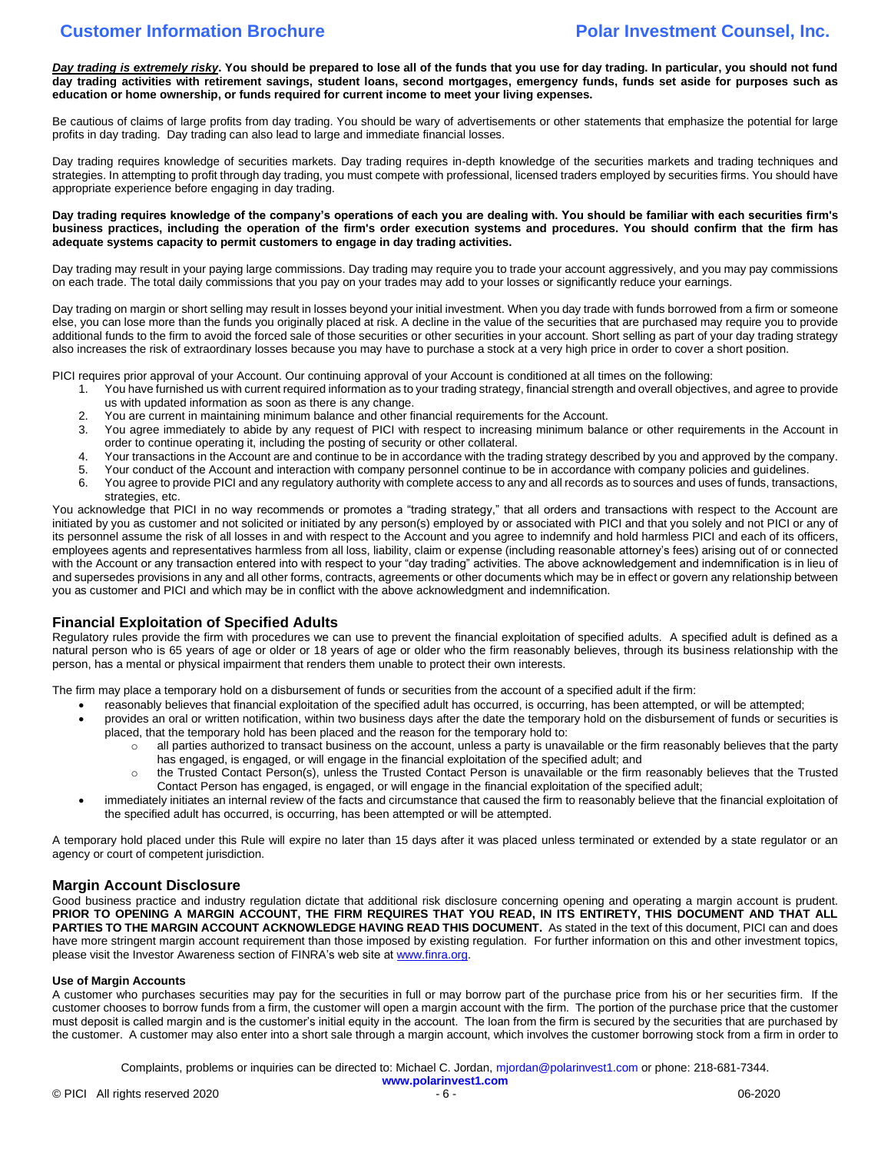*Day trading is extremely risky***. You should be prepared to lose all of the funds that you use for day trading. In particular, you should not fund day trading activities with retirement savings, student loans, second mortgages, emergency funds, funds set aside for purposes such as education or home ownership, or funds required for current income to meet your living expenses.**

Be cautious of claims of large profits from day trading. You should be wary of advertisements or other statements that emphasize the potential for large profits in day trading. Day trading can also lead to large and immediate financial losses.

Day trading requires knowledge of securities markets. Day trading requires in-depth knowledge of the securities markets and trading techniques and strategies. In attempting to profit through day trading, you must compete with professional, licensed traders employed by securities firms. You should have appropriate experience before engaging in day trading.

#### **Day trading requires knowledge of the company's operations of each you are dealing with. You should be familiar with each securities firm's business practices, including the operation of the firm's order execution systems and procedures. You should confirm that the firm has adequate systems capacity to permit customers to engage in day trading activities.**

Day trading may result in your paying large commissions. Day trading may require you to trade your account aggressively, and you may pay commissions on each trade. The total daily commissions that you pay on your trades may add to your losses or significantly reduce your earnings.

Day trading on margin or short selling may result in losses beyond your initial investment. When you day trade with funds borrowed from a firm or someone else, you can lose more than the funds you originally placed at risk. A decline in the value of the securities that are purchased may require you to provide additional funds to the firm to avoid the forced sale of those securities or other securities in your account. Short selling as part of your day trading strategy also increases the risk of extraordinary losses because you may have to purchase a stock at a very high price in order to cover a short position.

PICI requires prior approval of your Account. Our continuing approval of your Account is conditioned at all times on the following:

- 1. You have furnished us with current required information as to your trading strategy, financial strength and overall objectives, and agree to provide us with updated information as soon as there is any change.
- 2. You are current in maintaining minimum balance and other financial requirements for the Account.<br>3. You agree immediately to abide by any request of PICI with respect to increasing minimum balar
- 3. You agree immediately to abide by any request of PICI with respect to increasing minimum balance or other requirements in the Account in order to continue operating it, including the posting of security or other collateral.
- 4. Your transactions in the Account are and continue to be in accordance with the trading strategy described by you and approved by the company.
- 5. Your conduct of the Account and interaction with company personnel continue to be in accordance with company policies and guidelines.
- 6. You agree to provide PICI and any regulatory authority with complete access to any and all records as to sources and uses of funds, transactions, strategies, etc.

You acknowledge that PICI in no way recommends or promotes a "trading strategy," that all orders and transactions with respect to the Account are initiated by you as customer and not solicited or initiated by any person(s) employed by or associated with PICI and that you solely and not PICI or any of its personnel assume the risk of all losses in and with respect to the Account and you agree to indemnify and hold harmless PICI and each of its officers, employees agents and representatives harmless from all loss, liability, claim or expense (including reasonable attorney's fees) arising out of or connected with the Account or any transaction entered into with respect to your "day trading" activities. The above acknowledgement and indemnification is in lieu of and supersedes provisions in any and all other forms, contracts, agreements or other documents which may be in effect or govern any relationship between you as customer and PICI and which may be in conflict with the above acknowledgment and indemnification.

# **Financial Exploitation of Specified Adults**

Regulatory rules provide the firm with procedures we can use to prevent the financial exploitation of specified adults. A specified adult is defined as a natural person who is 65 years of age or older or 18 years of age or older who the firm reasonably believes, through its business relationship with the person, has a mental or physical impairment that renders them unable to protect their own interests.

The firm may place a temporary hold on a disbursement of funds or securities from the account of a specified adult if the firm:

- reasonably believes that financial exploitation of the specified adult has occurred, is occurring, has been attempted, or will be attempted;
- provides an oral or written notification, within two business days after the date the temporary hold on the disbursement of funds or securities is placed, that the temporary hold has been placed and the reason for the temporary hold to:
	- $\circ$  all parties authorized to transact business on the account, unless a party is unavailable or the firm reasonably believes that the party has engaged, is engaged, or will engage in the financial exploitation of the specified adult; and
	- $\circ$  the Trusted Contact Person(s), unless the Trusted Contact Person is unavailable or the firm reasonably believes that the Trusted Contact Person has engaged, is engaged, or will engage in the financial exploitation of the specified adult;
- immediately initiates an internal review of the facts and circumstance that caused the firm to reasonably believe that the financial exploitation of the specified adult has occurred, is occurring, has been attempted or will be attempted.

A temporary hold placed under this Rule will expire no later than 15 days after it was placed unless terminated or extended by a state regulator or an agency or court of competent jurisdiction.

# **Margin Account Disclosure**

Good business practice and industry regulation dictate that additional risk disclosure concerning opening and operating a margin account is prudent. **PRIOR TO OPENING A MARGIN ACCOUNT, THE FIRM REQUIRES THAT YOU READ, IN ITS ENTIRETY, THIS DOCUMENT AND THAT ALL** PARTIES TO THE MARGIN ACCOUNT ACKNOWLEDGE HAVING READ THIS DOCUMENT. As stated in the text of this document, PICI can and does have more stringent margin account requirement than those imposed by existing regulation. For further information on this and other investment topics, please visit the Investor Awareness section of FINRA's web site at www.finra.org.

#### **Use of Margin Accounts**

A customer who purchases securities may pay for the securities in full or may borrow part of the purchase price from his or her securities firm. If the customer chooses to borrow funds from a firm, the customer will open a margin account with the firm. The portion of the purchase price that the customer must deposit is called margin and is the customer's initial equity in the account. The loan from the firm is secured by the securities that are purchased by the customer. A customer may also enter into a short sale through a margin account, which involves the customer borrowing stock from a firm in order to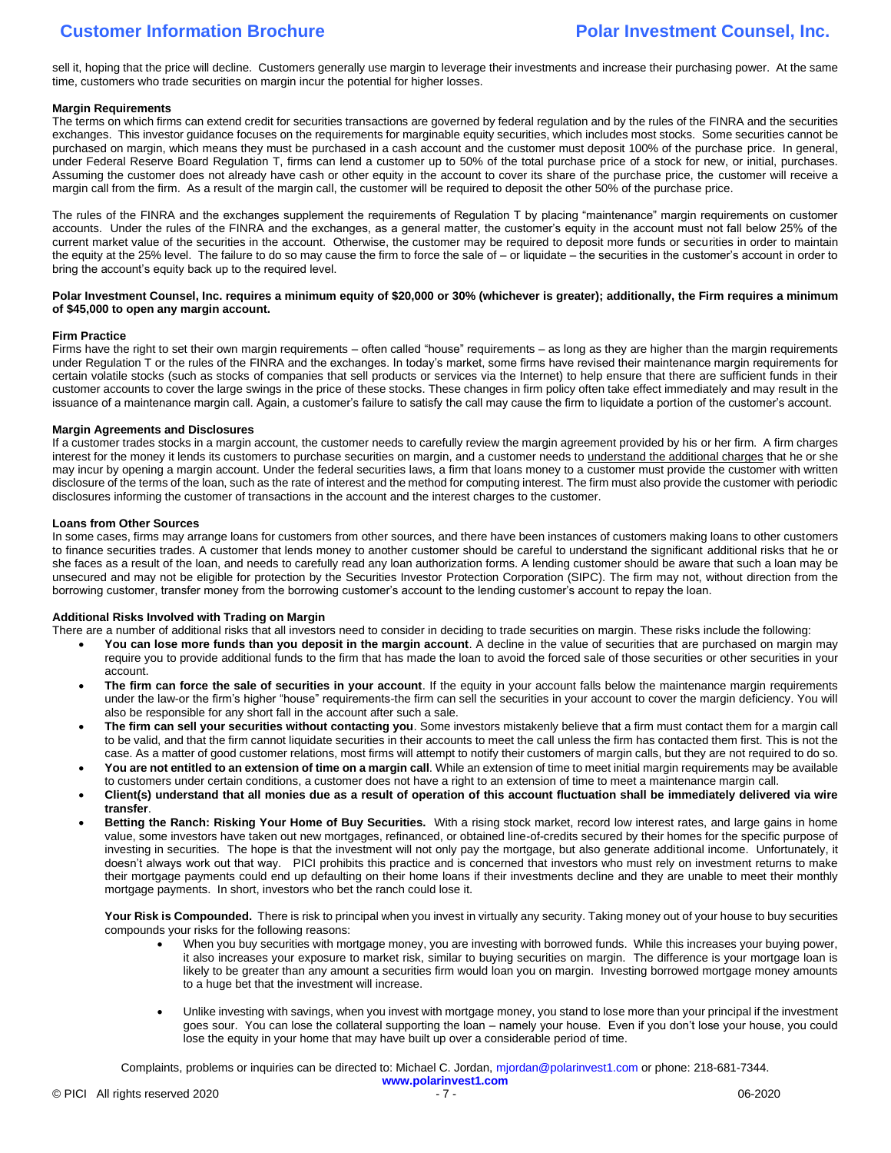sell it, hoping that the price will decline. Customers generally use margin to leverage their investments and increase their purchasing power. At the same time, customers who trade securities on margin incur the potential for higher losses.

#### **Margin Requirements**

The terms on which firms can extend credit for securities transactions are governed by federal regulation and by the rules of the FINRA and the securities exchanges. This investor guidance focuses on the requirements for marginable equity securities, which includes most stocks. Some securities cannot be purchased on margin, which means they must be purchased in a cash account and the customer must deposit 100% of the purchase price. In general, under Federal Reserve Board Regulation T, firms can lend a customer up to 50% of the total purchase price of a stock for new, or initial, purchases. Assuming the customer does not already have cash or other equity in the account to cover its share of the purchase price, the customer will receive a margin call from the firm. As a result of the margin call, the customer will be required to deposit the other 50% of the purchase price.

The rules of the FINRA and the exchanges supplement the requirements of Regulation T by placing "maintenance" margin requirements on customer accounts. Under the rules of the FINRA and the exchanges, as a general matter, the customer's equity in the account must not fall below 25% of the current market value of the securities in the account. Otherwise, the customer may be required to deposit more funds or securities in order to maintain the equity at the 25% level. The failure to do so may cause the firm to force the sale of – or liquidate – the securities in the customer's account in order to bring the account's equity back up to the required level.

#### **Polar Investment Counsel, Inc. requires a minimum equity of \$20,000 or 30% (whichever is greater); additionally, the Firm requires a minimum of \$45,000 to open any margin account.**

#### **Firm Practice**

Firms have the right to set their own margin requirements – often called "house" requirements – as long as they are higher than the margin requirements under Regulation T or the rules of the FINRA and the exchanges. In today's market, some firms have revised their maintenance margin requirements for certain volatile stocks (such as stocks of companies that sell products or services via the Internet) to help ensure that there are sufficient funds in their customer accounts to cover the large swings in the price of these stocks. These changes in firm policy often take effect immediately and may result in the issuance of a maintenance margin call. Again, a customer's failure to satisfy the call may cause the firm to liquidate a portion of the customer's account.

#### **Margin Agreements and Disclosures**

If a customer trades stocks in a margin account, the customer needs to carefully review the margin agreement provided by his or her firm. A firm charges interest for the money it lends its customers to purchase securities on margin, and a customer needs to understand the additional charges that he or she may incur by opening a margin account. Under the federal securities laws, a firm that loans money to a customer must provide the customer with written disclosure of the terms of the loan, such as the rate of interest and the method for computing interest. The firm must also provide the customer with periodic disclosures informing the customer of transactions in the account and the interest charges to the customer.

#### **Loans from Other Sources**

In some cases, firms may arrange loans for customers from other sources, and there have been instances of customers making loans to other customers to finance securities trades. A customer that lends money to another customer should be careful to understand the significant additional risks that he or she faces as a result of the loan, and needs to carefully read any loan authorization forms. A lending customer should be aware that such a loan may be unsecured and may not be eligible for protection by the Securities Investor Protection Corporation (SIPC). The firm may not, without direction from the borrowing customer, transfer money from the borrowing customer's account to the lending customer's account to repay the loan.

#### **Additional Risks Involved with Trading on Margin**

There are a number of additional risks that all investors need to consider in deciding to trade securities on margin. These risks include the following:

- **You can lose more funds than you deposit in the margin account**. A decline in the value of securities that are purchased on margin may require you to provide additional funds to the firm that has made the loan to avoid the forced sale of those securities or other securities in your account.
- **The firm can force the sale of securities in your account**. If the equity in your account falls below the maintenance margin requirements under the law-or the firm's higher "house" requirements-the firm can sell the securities in your account to cover the margin deficiency. You will also be responsible for any short fall in the account after such a sale.
- **The firm can sell your securities without contacting you**. Some investors mistakenly believe that a firm must contact them for a margin call to be valid, and that the firm cannot liquidate securities in their accounts to meet the call unless the firm has contacted them first. This is not the case. As a matter of good customer relations, most firms will attempt to notify their customers of margin calls, but they are not required to do so.
- **You are not entitled to an extension of time on a margin call**. While an extension of time to meet initial margin requirements may be available to customers under certain conditions, a customer does not have a right to an extension of time to meet a maintenance margin call.
- **Client(s) understand that all monies due as a result of operation of this account fluctuation shall be immediately delivered via wire transfer**.
- **Betting the Ranch: Risking Your Home of Buy Securities.** With a rising stock market, record low interest rates, and large gains in home value, some investors have taken out new mortgages, refinanced, or obtained line-of-credits secured by their homes for the specific purpose of investing in securities. The hope is that the investment will not only pay the mortgage, but also generate additional income. Unfortunately, it doesn't always work out that way. PICI prohibits this practice and is concerned that investors who must rely on investment returns to make their mortgage payments could end up defaulting on their home loans if their investments decline and they are unable to meet their monthly mortgage payments. In short, investors who bet the ranch could lose it.

Your Risk is Compounded. There is risk to principal when you invest in virtually any security. Taking money out of your house to buy securities compounds your risks for the following reasons:

- When you buy securities with mortgage money, you are investing with borrowed funds. While this increases your buying power, it also increases your exposure to market risk, similar to buying securities on margin. The difference is your mortgage loan is likely to be greater than any amount a securities firm would loan you on margin. Investing borrowed mortgage money amounts to a huge bet that the investment will increase.
- Unlike investing with savings, when you invest with mortgage money, you stand to lose more than your principal if the investment goes sour. You can lose the collateral supporting the loan – namely your house. Even if you don't lose your house, you could lose the equity in your home that may have built up over a considerable period of time.

Complaints, problems or inquiries can be directed to: Michael C. Jordan, miordan@polarinvest1.com or phone: 218-681-7344.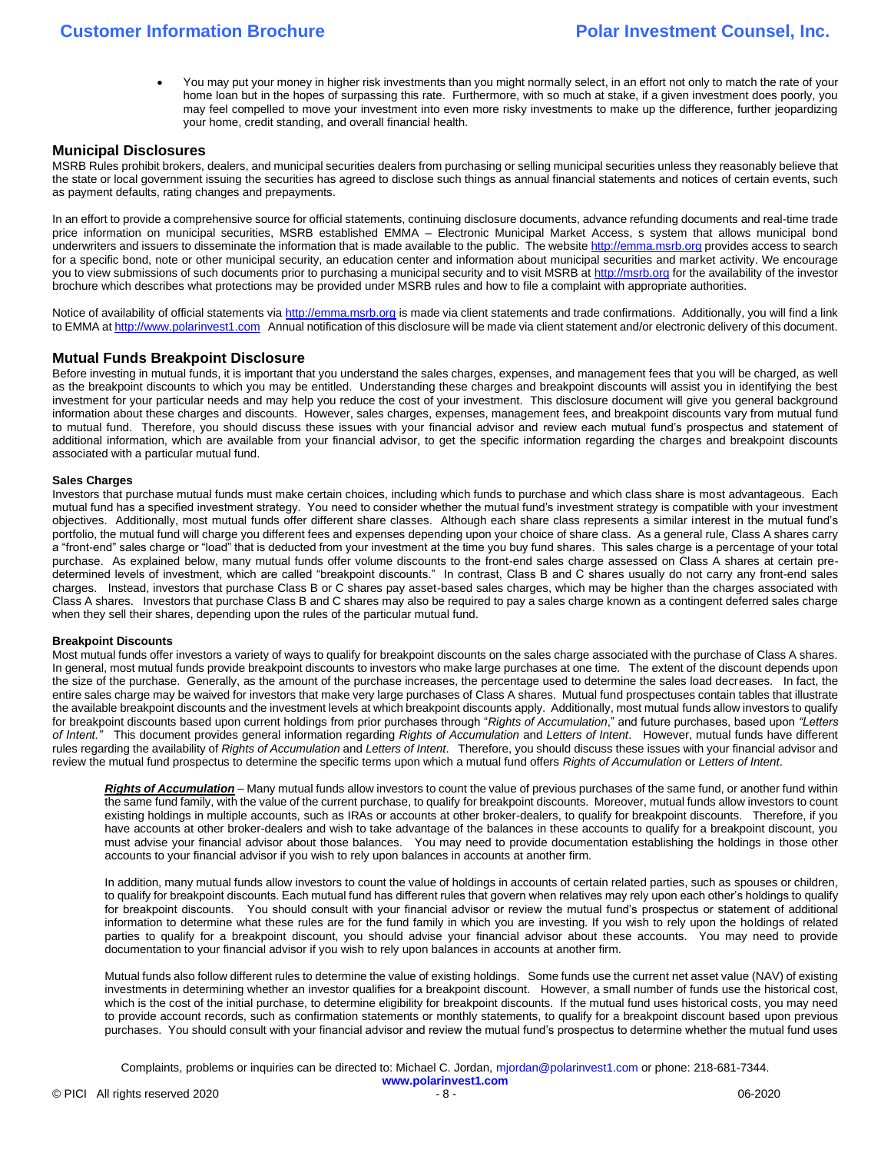• You may put your money in higher risk investments than you might normally select, in an effort not only to match the rate of your home loan but in the hopes of surpassing this rate. Furthermore, with so much at stake, if a given investment does poorly, you may feel compelled to move your investment into even more risky investments to make up the difference, further jeopardizing your home, credit standing, and overall financial health.

### **Municipal Disclosures**

MSRB Rules prohibit brokers, dealers, and municipal securities dealers from purchasing or selling municipal securities unless they reasonably believe that the state or local government issuing the securities has agreed to disclose such things as annual financial statements and notices of certain events, such as payment defaults, rating changes and prepayments.

In an effort to provide a comprehensive source for official statements, continuing disclosure documents, advance refunding documents and real-time trade price information on municipal securities, MSRB established EMMA – Electronic Municipal Market Access, s system that allows municipal bond underwriters and issuers to disseminate the information that is made available to the public. The websit[e http://emma.msrb.org](http://emma.msrb.org/) provides access to search for a specific bond, note or other municipal security, an education center and information about municipal securities and market activity. We encourage you to view submissions of such documents prior to purchasing a municipal security and to visit MSRB a[t http://msrb.org](http://msrb.org/) for the availability of the investor brochure which describes what protections may be provided under MSRB rules and how to file a complaint with appropriate authorities.

Notice of availability of official statements via [http://emma.msrb.org](http://emma.msrb.org/) is made via client statements and trade confirmations. Additionally, you will find a link to EMMA a[t http://www.polarinvest1.com](http://www.polarinvest1.com/) Annual notification of this disclosure will be made via client statement and/or electronic delivery of this document.

### **Mutual Funds Breakpoint Disclosure**

Before investing in mutual funds, it is important that you understand the sales charges, expenses, and management fees that you will be charged, as well as the breakpoint discounts to which you may be entitled. Understanding these charges and breakpoint discounts will assist you in identifying the best investment for your particular needs and may help you reduce the cost of your investment. This disclosure document will give you general background information about these charges and discounts. However, sales charges, expenses, management fees, and breakpoint discounts vary from mutual fund to mutual fund. Therefore, you should discuss these issues with your financial advisor and review each mutual fund's prospectus and statement of additional information, which are available from your financial advisor, to get the specific information regarding the charges and breakpoint discounts associated with a particular mutual fund.

#### **Sales Charges**

Investors that purchase mutual funds must make certain choices, including which funds to purchase and which class share is most advantageous. Each mutual fund has a specified investment strategy. You need to consider whether the mutual fund's investment strategy is compatible with your investment objectives. Additionally, most mutual funds offer different share classes. Although each share class represents a similar interest in the mutual fund's portfolio, the mutual fund will charge you different fees and expenses depending upon your choice of share class. As a general rule, Class A shares carry a "front-end" sales charge or "load" that is deducted from your investment at the time you buy fund shares. This sales charge is a percentage of your total purchase. As explained below, many mutual funds offer volume discounts to the front-end sales charge assessed on Class A shares at certain predetermined levels of investment, which are called "breakpoint discounts." In contrast, Class B and C shares usually do not carry any front-end sales charges. Instead, investors that purchase Class B or C shares pay asset-based sales charges, which may be higher than the charges associated with Class A shares. Investors that purchase Class B and C shares may also be required to pay a sales charge known as a contingent deferred sales charge when they sell their shares, depending upon the rules of the particular mutual fund.

#### **Breakpoint Discounts**

Most mutual funds offer investors a variety of ways to qualify for breakpoint discounts on the sales charge associated with the purchase of Class A shares. In general, most mutual funds provide breakpoint discounts to investors who make large purchases at one time. The extent of the discount depends upon the size of the purchase. Generally, as the amount of the purchase increases, the percentage used to determine the sales load decreases. In fact, the entire sales charge may be waived for investors that make very large purchases of Class A shares. Mutual fund prospectuses contain tables that illustrate the available breakpoint discounts and the investment levels at which breakpoint discounts apply. Additionally, most mutual funds allow investors to qualify for breakpoint discounts based upon current holdings from prior purchases through "*Rights of Accumulation*," and future purchases, based upon *"Letters of Intent."* This document provides general information regarding *Rights of Accumulation* and *Letters of Intent*. However, mutual funds have different rules regarding the availability of *Rights of Accumulation* and *Letters of Intent*. Therefore, you should discuss these issues with your financial advisor and review the mutual fund prospectus to determine the specific terms upon which a mutual fund offers *Rights of Accumulation* or *Letters of Intent*.

*Rights of Accumulation* – Many mutual funds allow investors to count the value of previous purchases of the same fund, or another fund within the same fund family, with the value of the current purchase, to qualify for breakpoint discounts. Moreover, mutual funds allow investors to count existing holdings in multiple accounts, such as IRAs or accounts at other broker-dealers, to qualify for breakpoint discounts. Therefore, if you have accounts at other broker-dealers and wish to take advantage of the balances in these accounts to qualify for a breakpoint discount, you must advise your financial advisor about those balances. You may need to provide documentation establishing the holdings in those other accounts to your financial advisor if you wish to rely upon balances in accounts at another firm.

In addition, many mutual funds allow investors to count the value of holdings in accounts of certain related parties, such as spouses or children, to qualify for breakpoint discounts. Each mutual fund has different rules that govern when relatives may rely upon each other's holdings to qualify for breakpoint discounts. You should consult with your financial advisor or review the mutual fund's prospectus or statement of additional information to determine what these rules are for the fund family in which you are investing. If you wish to rely upon the holdings of related parties to qualify for a breakpoint discount, you should advise your financial advisor about these accounts. You may need to provide documentation to your financial advisor if you wish to rely upon balances in accounts at another firm.

Mutual funds also follow different rules to determine the value of existing holdings. Some funds use the current net asset value (NAV) of existing investments in determining whether an investor qualifies for a breakpoint discount. However, a small number of funds use the historical cost, which is the cost of the initial purchase, to determine eligibility for breakpoint discounts. If the mutual fund uses historical costs, you may need to provide account records, such as confirmation statements or monthly statements, to qualify for a breakpoint discount based upon previous purchases. You should consult with your financial advisor and review the mutual fund's prospectus to determine whether the mutual fund uses

Complaints, problems or inquiries can be directed to: Michael C. Jordan, miordan@polarinvest1.com or phone: 218-681-7344.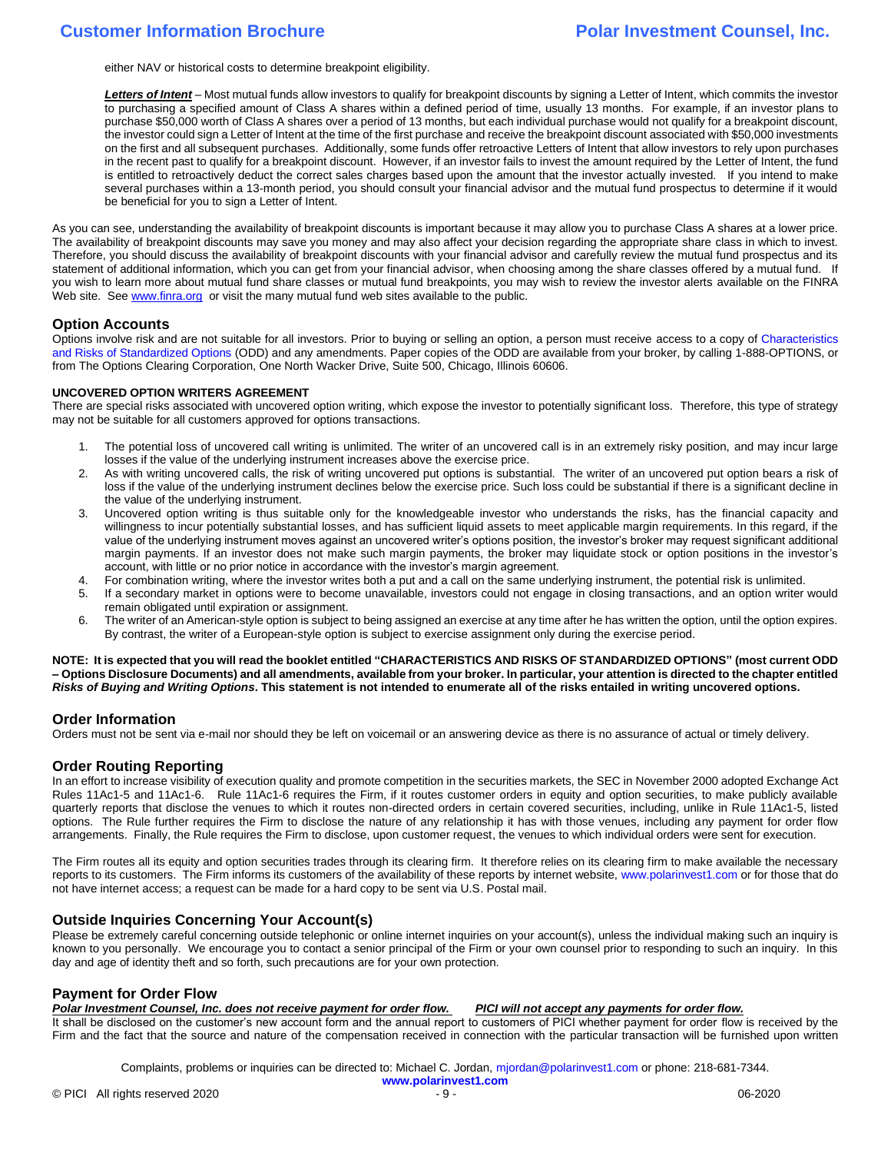either NAV or historical costs to determine breakpoint eligibility.

*Letters of Intent* – Most mutual funds allow investors to qualify for breakpoint discounts by signing a Letter of Intent, which commits the investor to purchasing a specified amount of Class A shares within a defined period of time, usually 13 months. For example, if an investor plans to purchase \$50,000 worth of Class A shares over a period of 13 months, but each individual purchase would not qualify for a breakpoint discount, the investor could sign a Letter of Intent at the time of the first purchase and receive the breakpoint discount associated with \$50,000 investments on the first and all subsequent purchases. Additionally, some funds offer retroactive Letters of Intent that allow investors to rely upon purchases in the recent past to qualify for a breakpoint discount. However, if an investor fails to invest the amount required by the Letter of Intent, the fund is entitled to retroactively deduct the correct sales charges based upon the amount that the investor actually invested. If you intend to make several purchases within a 13-month period, you should consult your financial advisor and the mutual fund prospectus to determine if it would be beneficial for you to sign a Letter of Intent.

As you can see, understanding the availability of breakpoint discounts is important because it may allow you to purchase Class A shares at a lower price. The availability of breakpoint discounts may save you money and may also affect your decision regarding the appropriate share class in which to invest. Therefore, you should discuss the availability of breakpoint discounts with your financial advisor and carefully review the mutual fund prospectus and its statement of additional information, which you can get from your financial advisor, when choosing among the share classes offered by a mutual fund. If you wish to learn more about mutual fund share classes or mutual fund breakpoints, you may wish to review the investor alerts available on the FINRA Web site. Se[e www.finra.org](http://www.finra.org/) or visit the many mutual fund web sites available to the public.

# **Option Accounts**

Options involve risk and are not suitable for all investors. Prior to buying or selling an option, a person must receive access to a copy of [Characteristics](http://www.cboe.com/Resources/Intro.asp)  [and Risks of Standardized Options](http://www.cboe.com/Resources/Intro.asp) (ODD) and any amendments. Paper copies of the ODD are available from your broker, by calling 1-888-OPTIONS, or from The Options Clearing Corporation, One North Wacker Drive, Suite 500, Chicago, Illinois 60606.

#### **UNCOVERED OPTION WRITERS AGREEMENT**

There are special risks associated with uncovered option writing, which expose the investor to potentially significant loss. Therefore, this type of strategy may not be suitable for all customers approved for options transactions.

- 1. The potential loss of uncovered call writing is unlimited. The writer of an uncovered call is in an extremely risky position, and may incur large losses if the value of the underlying instrument increases above the exercise price.
- 2. As with writing uncovered calls, the risk of writing uncovered put options is substantial. The writer of an uncovered put option bears a risk of loss if the value of the underlying instrument declines below the exercise price. Such loss could be substantial if there is a significant decline in the value of the underlying instrument.
- 3. Uncovered option writing is thus suitable only for the knowledgeable investor who understands the risks, has the financial capacity and willingness to incur potentially substantial losses, and has sufficient liquid assets to meet applicable margin requirements. In this regard, if the value of the underlying instrument moves against an uncovered writer's options position, the investor's broker may request significant additional margin payments. If an investor does not make such margin payments, the broker may liquidate stock or option positions in the investor's account, with little or no prior notice in accordance with the investor's margin agreement.
- 4. For combination writing, where the investor writes both a put and a call on the same underlying instrument, the potential risk is unlimited.
- 5. If a secondary market in options were to become unavailable, investors could not engage in closing transactions, and an option writer would remain obligated until expiration or assignment.
- 6. The writer of an American-style option is subject to being assigned an exercise at any time after he has written the option, until the option expires. By contrast, the writer of a European-style option is subject to exercise assignment only during the exercise period.

**NOTE: It is expected that you will read the booklet entitled "CHARACTERISTICS AND RISKS OF STANDARDIZED OPTIONS" (most current ODD – Options Disclosure Documents) and all amendments, available from your broker. In particular, your attention is directed to the chapter entitled**  *Risks of Buying and Writing Options***. This statement is not intended to enumerate all of the risks entailed in writing uncovered options.** 

# **Order Information**

Orders must not be sent via e-mail nor should they be left on voicemail or an answering device as there is no assurance of actual or timely delivery.

# **Order Routing Reporting**

In an effort to increase visibility of execution quality and promote competition in the securities markets, the SEC in November 2000 adopted Exchange Act Rules 11Ac1-5 and 11Ac1-6. Rule 11Ac1-6 requires the Firm, if it routes customer orders in equity and option securities, to make publicly available quarterly reports that disclose the venues to which it routes non-directed orders in certain covered securities, including, unlike in Rule 11Ac1-5, listed options. The Rule further requires the Firm to disclose the nature of any relationship it has with those venues, including any payment for order flow arrangements. Finally, the Rule requires the Firm to disclose, upon customer request, the venues to which individual orders were sent for execution.

The Firm routes all its equity and option securities trades through its clearing firm. It therefore relies on its clearing firm to make available the necessary reports to its customers. The Firm informs its customers of the availability of these reports by internet website, [www.polarinvest1.com](http://www.polarinvest1.com/) or for those that do not have internet access; a request can be made for a hard copy to be sent via U.S. Postal mail.

# **Outside Inquiries Concerning Your Account(s)**

Please be extremely careful concerning outside telephonic or online internet inquiries on your account(s), unless the individual making such an inquiry is known to you personally. We encourage you to contact a senior principal of the Firm or your own counsel prior to responding to such an inquiry. In this day and age of identity theft and so forth, such precautions are for your own protection.

# **Payment for Order Flow**

*Polar Investment Counsel, Inc. does not receive payment for order flow. PICI will not accept any payments for order flow.*

It shall be disclosed on the customer's new account form and the annual report to customers of PICI whether payment for order flow is received by the Firm and the fact that the source and nature of the compensation received in connection with the particular transaction will be furnished upon written

Complaints, problems or inquiries can be directed to: Michael C. Jordan, miordan@polarinvest1.com or phone: 218-681-7344.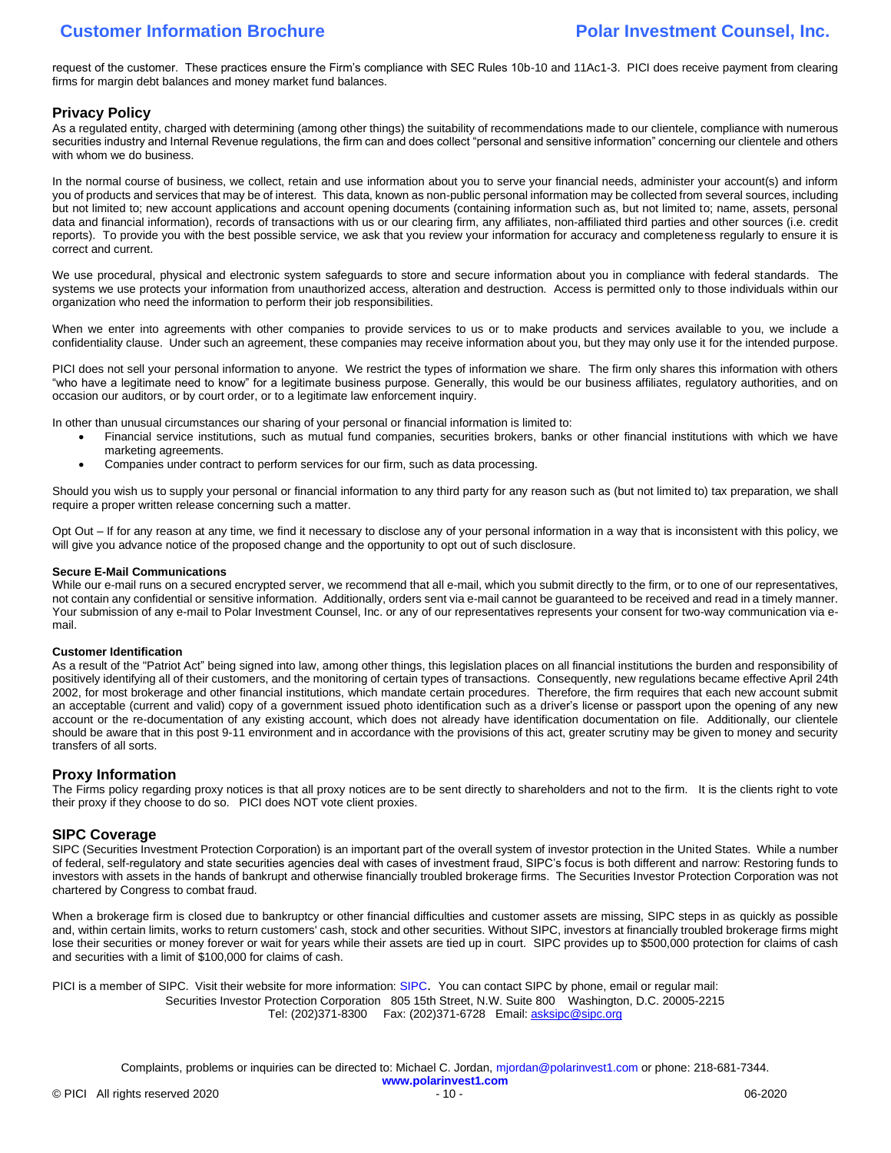request of the customer. These practices ensure the Firm's compliance with SEC Rules 10b-10 and 11Ac1-3. PICI does receive payment from clearing firms for margin debt balances and money market fund balances.

# **Privacy Policy**

As a regulated entity, charged with determining (among other things) the suitability of recommendations made to our clientele, compliance with numerous securities industry and Internal Revenue regulations, the firm can and does collect "personal and sensitive information" concerning our clientele and others with whom we do business.

In the normal course of business, we collect, retain and use information about you to serve your financial needs, administer your account(s) and inform you of products and services that may be of interest. This data, known as non-public personal information may be collected from several sources, including but not limited to; new account applications and account opening documents (containing information such as, but not limited to; name, assets, personal data and financial information), records of transactions with us or our clearing firm, any affiliates, non-affiliated third parties and other sources (i.e. credit reports). To provide you with the best possible service, we ask that you review your information for accuracy and completeness regularly to ensure it is correct and current.

We use procedural, physical and electronic system safeguards to store and secure information about you in compliance with federal standards. The systems we use protects your information from unauthorized access, alteration and destruction. Access is permitted only to those individuals within our organization who need the information to perform their job responsibilities.

When we enter into agreements with other companies to provide services to us or to make products and services available to you, we include a confidentiality clause. Under such an agreement, these companies may receive information about you, but they may only use it for the intended purpose.

PICI does not sell your personal information to anyone. We restrict the types of information we share. The firm only shares this information with others "who have a legitimate need to know" for a legitimate business purpose. Generally, this would be our business affiliates, regulatory authorities, and on occasion our auditors, or by court order, or to a legitimate law enforcement inquiry.

In other than unusual circumstances our sharing of your personal or financial information is limited to:

- Financial service institutions, such as mutual fund companies, securities brokers, banks or other financial institutions with which we have marketing agreements.
- Companies under contract to perform services for our firm, such as data processing.

Should you wish us to supply your personal or financial information to any third party for any reason such as (but not limited to) tax preparation, we shall require a proper written release concerning such a matter.

Opt Out – If for any reason at any time, we find it necessary to disclose any of your personal information in a way that is inconsistent with this policy, we will give you advance notice of the proposed change and the opportunity to opt out of such disclosure.

#### **Secure E-Mail Communications**

While our e-mail runs on a secured encrypted server, we recommend that all e-mail, which you submit directly to the firm, or to one of our representatives, not contain any confidential or sensitive information. Additionally, orders sent via e-mail cannot be guaranteed to be received and read in a timely manner. Your submission of any e-mail to Polar Investment Counsel, Inc. or any of our representatives represents your consent for two-way communication via email.

#### **Customer Identification**

As a result of the "Patriot Act" being signed into law, among other things, this legislation places on all financial institutions the burden and responsibility of positively identifying all of their customers, and the monitoring of certain types of transactions. Consequently, new regulations became effective April 24th 2002, for most brokerage and other financial institutions, which mandate certain procedures. Therefore, the firm requires that each new account submit an acceptable (current and valid) copy of a government issued photo identification such as a driver's license or passport upon the opening of any new account or the re-documentation of any existing account, which does not already have identification documentation on file. Additionally, our clientele should be aware that in this post 9-11 environment and in accordance with the provisions of this act, greater scrutiny may be given to money and security transfers of all sorts.

# **Proxy Information**

The Firms policy regarding proxy notices is that all proxy notices are to be sent directly to shareholders and not to the firm. It is the clients right to vote their proxy if they choose to do so. PICI does NOT vote client proxies.

# **SIPC Coverage**

SIPC (Securities Investment Protection Corporation) is an important part of the overall system of investor protection in the United States. While a number of federal, self-regulatory and state securities agencies deal with cases of investment fraud, SIPC's focus is both different and narrow: Restoring funds to investors with assets in the hands of bankrupt and otherwise financially troubled brokerage firms. The Securities Investor Protection Corporation was not chartered by Congress to combat fraud.

When a brokerage firm is closed due to bankruptcy or other financial difficulties and customer assets are missing, SIPC steps in as quickly as possible and, within certain limits, works to return customers' cash, stock and other securities. Without SIPC, investors at financially troubled brokerage firms might lose their securities or money forever or wait for years while their assets are tied up in court. SIPC provides up to \$500,000 protection for claims of cash and securities with a limit of \$100,000 for claims of cash.

PICI is a member of SIPC. Visit their website for more information[: SIPC](http://www.sipc.org/). You can contact SIPC by phone, email or regular mail: Securities Investor Protection Corporation 805 15th Street, N.W. Suite 800 Washington, D.C. 20005-2215 Tel: (202)371-8300 Fax: (202)371-6728 Email: [asksipc@sipc.org](mailto:asksipc@sipc.org)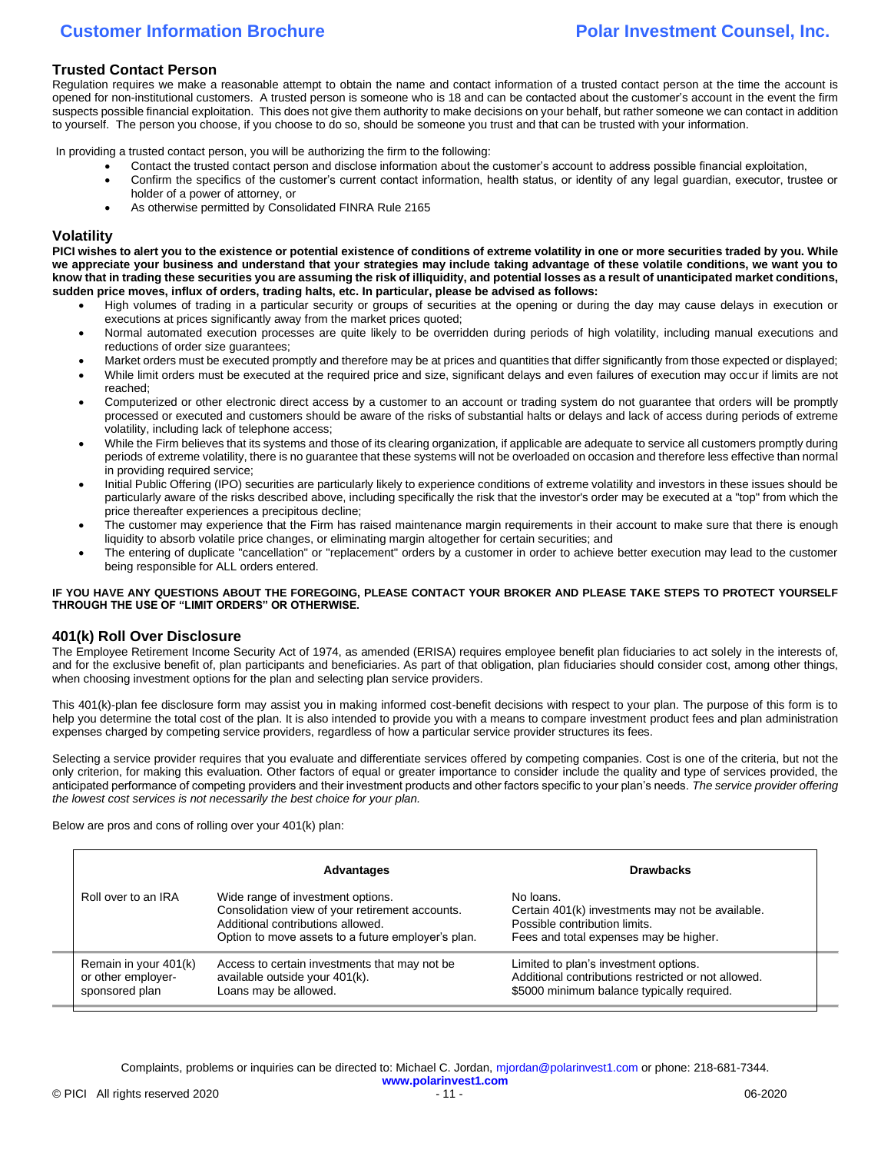# **Trusted Contact Person**

Regulation requires we make a reasonable attempt to obtain the name and contact information of a trusted contact person at the time the account is opened for non-institutional customers. A trusted person is someone who is 18 and can be contacted about the customer's account in the event the firm suspects possible financial exploitation. This does not give them authority to make decisions on your behalf, but rather someone we can contact in addition to yourself. The person you choose, if you choose to do so, should be someone you trust and that can be trusted with your information.

In providing a trusted contact person, you will be authorizing the firm to the following:

- Contact the trusted contact person and disclose information about the customer's account to address possible financial exploitation,
- Confirm the specifics of the customer's current contact information, health status, or identity of any legal guardian, executor, trustee or holder of a power of attorney, or
- As otherwise permitted by Consolidated FINRA Rule 2165

#### **Volatility**

**PICI wishes to alert you to the existence or potential existence of conditions of extreme volatility in one or more securities traded by you. While we appreciate your business and understand that your strategies may include taking advantage of these volatile conditions, we want you to know that in trading these securities you are assuming the risk of illiquidity, and potential losses as a result of unanticipated market conditions, sudden price moves, influx of orders, trading halts, etc. In particular, please be advised as follows:** 

- High volumes of trading in a particular security or groups of securities at the opening or during the day may cause delays in execution or executions at prices significantly away from the market prices quoted;
- Normal automated execution processes are quite likely to be overridden during periods of high volatility, including manual executions and reductions of order size guarantees;
- Market orders must be executed promptly and therefore may be at prices and quantities that differ significantly from those expected or displayed;
- While limit orders must be executed at the required price and size, significant delays and even failures of execution may occur if limits are not reached;
- Computerized or other electronic direct access by a customer to an account or trading system do not guarantee that orders will be promptly processed or executed and customers should be aware of the risks of substantial halts or delays and lack of access during periods of extreme volatility, including lack of telephone access;
- While the Firm believes that its systems and those of its clearing organization, if applicable are adequate to service all customers promptly during periods of extreme volatility, there is no guarantee that these systems will not be overloaded on occasion and therefore less effective than normal in providing required service;
- Initial Public Offering (IPO) securities are particularly likely to experience conditions of extreme volatility and investors in these issues should be particularly aware of the risks described above, including specifically the risk that the investor's order may be executed at a "top" from which the price thereafter experiences a precipitous decline;
- The customer may experience that the Firm has raised maintenance margin requirements in their account to make sure that there is enough liquidity to absorb volatile price changes, or eliminating margin altogether for certain securities; and
- The entering of duplicate "cancellation" or "replacement" orders by a customer in order to achieve better execution may lead to the customer being responsible for ALL orders entered.

#### **IF YOU HAVE ANY QUESTIONS ABOUT THE FOREGOING, PLEASE CONTACT YOUR BROKER AND PLEASE TAKE STEPS TO PROTECT YOURSELF THROUGH THE USE OF "LIMIT ORDERS" OR OTHERWISE.**

# **401(k) Roll Over Disclosure**

The Employee Retirement Income Security Act of 1974, as amended (ERISA) requires employee benefit plan fiduciaries to act solely in the interests of, and for the exclusive benefit of, plan participants and beneficiaries. As part of that obligation, plan fiduciaries should consider cost, among other things, when choosing investment options for the plan and selecting plan service providers.

This 401(k)-plan fee disclosure form may assist you in making informed cost-benefit decisions with respect to your plan. The purpose of this form is to help you determine the total cost of the plan. It is also intended to provide you with a means to compare investment product fees and plan administration expenses charged by competing service providers, regardless of how a particular service provider structures its fees.

Selecting a service provider requires that you evaluate and differentiate services offered by competing companies. Cost is one of the criteria, but not the only criterion, for making this evaluation. Other factors of equal or greater importance to consider include the quality and type of services provided, the anticipated performance of competing providers and their investment products and other factors specific to your plan's needs. *The service provider offering the lowest cost services is not necessarily the best choice for your plan.*

Below are pros and cons of rolling over your 401(k) plan:

|                                                               | <b>Advantages</b>                                                                                                                                                               | <b>Drawbacks</b>                                                                                                                           |  |
|---------------------------------------------------------------|---------------------------------------------------------------------------------------------------------------------------------------------------------------------------------|--------------------------------------------------------------------------------------------------------------------------------------------|--|
| Roll over to an IRA                                           | Wide range of investment options.<br>Consolidation view of your retirement accounts.<br>Additional contributions allowed.<br>Option to move assets to a future employer's plan. | No loans.<br>Certain 401(k) investments may not be available.<br>Possible contribution limits.<br>Fees and total expenses may be higher.   |  |
| Remain in your 401(k)<br>or other employer-<br>sponsored plan | Access to certain investments that may not be<br>available outside your 401(k).<br>Loans may be allowed.                                                                        | Limited to plan's investment options.<br>Additional contributions restricted or not allowed.<br>\$5000 minimum balance typically required. |  |